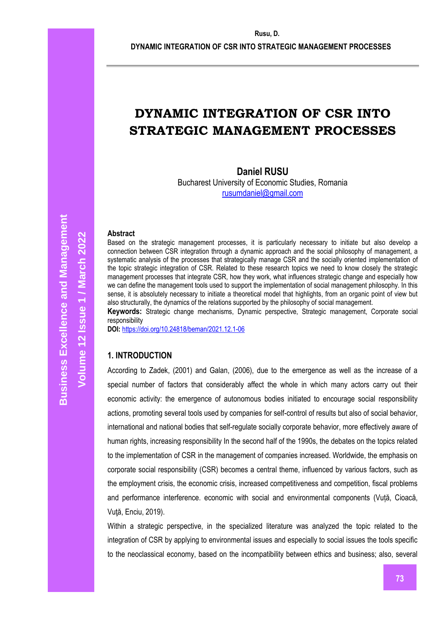**DYNAMIC INTEGRATION OF CSR INTO STRATEGIC MANAGEMENT PROCESSES**

# **DYNAMIC INTEGRATION OF CSR INTO STRATEGIC MANAGEMENT PROCESSES**

## **Daniel RUSU**

Bucharest University of Economic Studies, Romania [rusumdaniel@gmail.com](mailto:rusumdaniel@gmail.com)

#### **Abstract**

Based on the strategic management processes, it is particularly necessary to initiate but also develop a connection between CSR integration through a dynamic approach and the social philosophy of management, a systematic analysis of the processes that strategically manage CSR and the socially oriented implementation of the topic strategic integration of CSR. Related to these research topics we need to know closely the strategic management processes that integrate CSR, how they work, what influences strategic change and especially how we can define the management tools used to support the implementation of social management philosophy. In this sense, it is absolutely necessary to initiate a theoretical model that highlights, from an organic point of view but also structurally, the dynamics of the relations supported by the philosophy of social management.

**Keywords:** Strategic change mechanisms, Dynamic perspective, Strategic management, Corporate social responsibility

**DOI:** <https://doi.org/10.24818/beman/2021.12.1-06>

## **1. INTRODUCTION**

According to Zadek, (2001) and Galan, (2006), due to the emergence as well as the increase of a special number of factors that considerably affect the whole in which many actors carry out their economic activity: the emergence of autonomous bodies initiated to encourage social responsibility actions, promoting several tools used by companies for self-control of results but also of social behavior, international and national bodies that self-regulate socially corporate behavior, more effectively aware of human rights, increasing responsibility In the second half of the 1990s, the debates on the topics related to the implementation of CSR in the management of companies increased. Worldwide, the emphasis on corporate social responsibility (CSR) becomes a central theme, influenced by various factors, such as the employment crisis, the economic crisis, increased competitiveness and competition, fiscal problems and performance interference. economic with social and environmental components (Vuță, Cioacă, Vută, Enciu, 2019).

Within a strategic perspective, in the specialized literature was analyzed the topic related to the integration of CSR by applying to environmental issues and especially to social issues the tools specific to the neoclassical economy, based on the incompatibility between ethics and business; also, several

**Volume 12 Issue 1 / March 2022**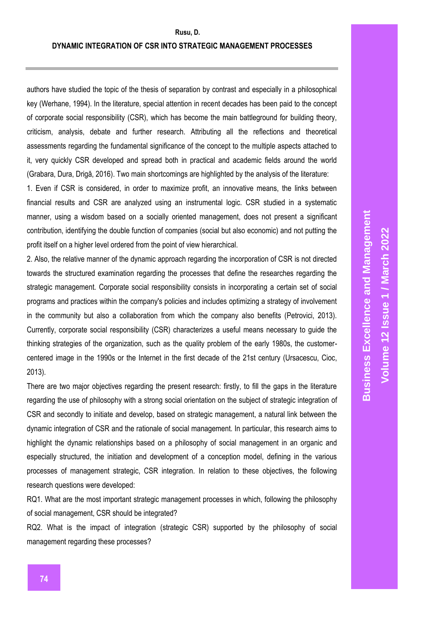authors have studied the topic of the thesis of separation by contrast and especially in a philosophical key (Werhane, 1994). In the literature, special attention in recent decades has been paid to the concept of corporate social responsibility (CSR), which has become the main battleground for building theory, criticism, analysis, debate and further research. Attributing all the reflections and theoretical assessments regarding the fundamental significance of the concept to the multiple aspects attached to it, very quickly CSR developed and spread both in practical and academic fields around the world (Grabara, Dura, Drigă, 2016). Two main shortcomings are highlighted by the analysis of the literature:

1. Even if CSR is considered, in order to maximize profit, an innovative means, the links between financial results and CSR are analyzed using an instrumental logic. CSR studied in a systematic manner, using a wisdom based on a socially oriented management, does not present a significant contribution, identifying the double function of companies (social but also economic) and not putting the profit itself on a higher level ordered from the point of view hierarchical.

2. Also, the relative manner of the dynamic approach regarding the incorporation of CSR is not directed towards the structured examination regarding the processes that define the researches regarding the strategic management. Corporate social responsibility consists in incorporating a certain set of social programs and practices within the company's policies and includes optimizing a strategy of involvement in the community but also a collaboration from which the company also benefits (Petrovici, 2013). Currently, corporate social responsibility (CSR) characterizes a useful means necessary to guide the thinking strategies of the organization, such as the quality problem of the early 1980s, the customercentered image in the 1990s or the Internet in the first decade of the 21st century (Ursacescu, Cioc, 2013).

There are two major objectives regarding the present research: firstly, to fill the gaps in the literature regarding the use of philosophy with a strong social orientation on the subject of strategic integration of CSR and secondly to initiate and develop, based on strategic management, a natural link between the dynamic integration of CSR and the rationale of social management. In particular, this research aims to highlight the dynamic relationships based on a philosophy of social management in an organic and especially structured, the initiation and development of a conception model, defining in the various processes of management strategic, CSR integration. In relation to these objectives, the following research questions were developed:

RQ1. What are the most important strategic management processes in which, following the philosophy of social management, CSR should be integrated?

RQ2. What is the impact of integration (strategic CSR) supported by the philosophy of social management regarding these processes?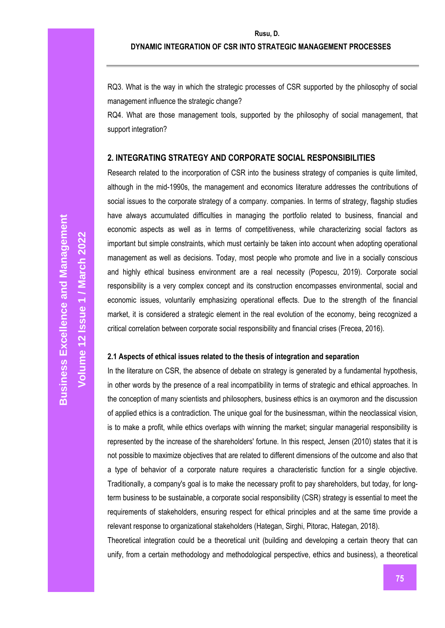RQ3. What is the way in which the strategic processes of CSR supported by the philosophy of social management influence the strategic change?

RQ4. What are those management tools, supported by the philosophy of social management, that support integration?

## **2. INTEGRATING STRATEGY AND CORPORATE SOCIAL RESPONSIBILITIES**

Research related to the incorporation of CSR into the business strategy of companies is quite limited, although in the mid-1990s, the management and economics literature addresses the contributions of social issues to the corporate strategy of a company. companies. In terms of strategy, flagship studies have always accumulated difficulties in managing the portfolio related to business, financial and economic aspects as well as in terms of competitiveness, while characterizing social factors as important but simple constraints, which must certainly be taken into account when adopting operational management as well as decisions. Today, most people who promote and live in a socially conscious and highly ethical business environment are a real necessity (Popescu, 2019). Corporate social responsibility is a very complex concept and its construction encompasses environmental, social and economic issues, voluntarily emphasizing operational effects. Due to the strength of the financial market, it is considered a strategic element in the real evolution of the economy, being recognized a critical correlation between corporate social responsibility and financial crises (Frecea, 2016).

## **2.1 Aspects of ethical issues related to the thesis of integration and separation**

In the literature on CSR, the absence of debate on strategy is generated by a fundamental hypothesis, in other words by the presence of a real incompatibility in terms of strategic and ethical approaches. In the conception of many scientists and philosophers, business ethics is an oxymoron and the discussion of applied ethics is a contradiction. The unique goal for the businessman, within the neoclassical vision, is to make a profit, while ethics overlaps with winning the market; singular managerial responsibility is represented by the increase of the shareholders' fortune. In this respect, Jensen (2010) states that it is not possible to maximize objectives that are related to different dimensions of the outcome and also that a type of behavior of a corporate nature requires a characteristic function for a single objective. Traditionally, a company's goal is to make the necessary profit to pay shareholders, but today, for longterm business to be sustainable, a corporate social responsibility (CSR) strategy is essential to meet the requirements of stakeholders, ensuring respect for ethical principles and at the same time provide a relevant response to organizational stakeholders (Hategan, Sirghi, Pitorac, Hategan, 2018).

Theoretical integration could be a theoretical unit (building and developing a certain theory that can unify, from a certain methodology and methodological perspective, ethics and business), a theoretical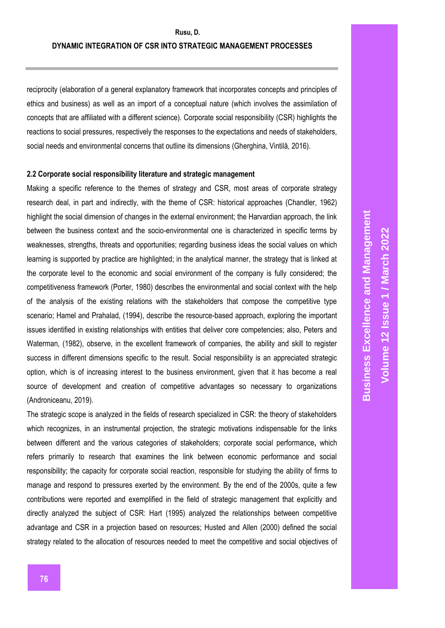reciprocity (elaboration of a general explanatory framework that incorporates concepts and principles of ethics and business) as well as an import of a conceptual nature (which involves the assimilation of concepts that are affiliated with a different science). Corporate social responsibility (CSR) highlights the reactions to social pressures, respectively the responses to the expectations and needs of stakeholders, social needs and environmental concerns that outline its dimensions (Gherghina, Vintilă, 2016).

### **2.2 Corporate social responsibility literature and strategic management**

Making a specific reference to the themes of strategy and CSR, most areas of corporate strategy research deal, in part and indirectly, with the theme of CSR: historical approaches (Chandler, 1962) highlight the social dimension of changes in the external environment; the Harvardian approach, the link between the business context and the socio-environmental one is characterized in specific terms by weaknesses, strengths, threats and opportunities; regarding business ideas the social values on which learning is supported by practice are highlighted; in the analytical manner, the strategy that is linked at the corporate level to the economic and social environment of the company is fully considered; the competitiveness framework (Porter, 1980) describes the environmental and social context with the help of the analysis of the existing relations with the stakeholders that compose the competitive type scenario; Hamel and Prahalad, (1994), describe the resource-based approach, exploring the important issues identified in existing relationships with entities that deliver core competencies; also, Peters and Waterman, (1982), observe, in the excellent framework of companies, the ability and skill to register success in different dimensions specific to the result. Social responsibility is an appreciated strategic option, which is of increasing interest to the business environment, given that it has become a real source of development and creation of competitive advantages so necessary to organizations (Androniceanu, 2019).

The strategic scope is analyzed in the fields of research specialized in CSR: the theory of stakeholders which recognizes, in an instrumental projection, the strategic motivations indispensable for the links between different and the various categories of stakeholders; corporate social performance**,** which refers primarily to research that examines the link between economic performance and social responsibility; the capacity for corporate social reaction, responsible for studying the ability of firms to manage and respond to pressures exerted by the environment. By the end of the 2000s, quite a few contributions were reported and exemplified in the field of strategic management that explicitly and directly analyzed the subject of CSR: Hart (1995) analyzed the relationships between competitive advantage and CSR in a projection based on resources; Husted and Allen (2000) defined the social strategy related to the allocation of resources needed to meet the competitive and social objectives of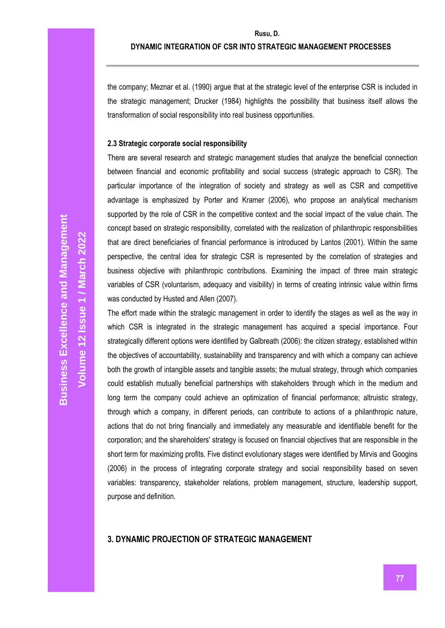the company; Meznar et al. (1990) argue that at the strategic level of the enterprise CSR is included in the strategic management; Drucker (1984) highlights the possibility that business itself allows the transformation of social responsibility into real business opportunities.

## **2.3 Strategic corporate social responsibility**

There are several research and strategic management studies that analyze the beneficial connection between financial and economic profitability and social success (strategic approach to CSR). The particular importance of the integration of society and strategy as well as CSR and competitive advantage is emphasized by Porter and Kramer (2006), who propose an analytical mechanism supported by the role of CSR in the competitive context and the social impact of the value chain. The concept based on strategic responsibility, correlated with the realization of philanthropic responsibilities that are direct beneficiaries of financial performance is introduced by Lantos (2001). Within the same perspective, the central idea for strategic CSR is represented by the correlation of strategies and business objective with philanthropic contributions. Examining the impact of three main strategic variables of CSR (voluntarism, adequacy and visibility) in terms of creating intrinsic value within firms was conducted by Husted and Allen (2007).

The effort made within the strategic management in order to identify the stages as well as the way in which CSR is integrated in the strategic management has acquired a special importance. Four strategically different options were identified by Galbreath (2006): the citizen strategy, established within the objectives of accountability, sustainability and transparency and with which a company can achieve both the growth of intangible assets and tangible assets; the mutual strategy, through which companies could establish mutually beneficial partnerships with stakeholders through which in the medium and long term the company could achieve an optimization of financial performance; altruistic strategy, through which a company, in different periods, can contribute to actions of a philanthropic nature, actions that do not bring financially and immediately any measurable and identifiable benefit for the corporation; and the shareholders' strategy is focused on financial objectives that are responsible in the short term for maximizing profits. Five distinct evolutionary stages were identified by Mirvis and Googins (2006) in the process of integrating corporate strategy and social responsibility based on seven variables: transparency, stakeholder relations, problem management, structure, leadership support, purpose and definition.

## **3. DYNAMIC PROJECTION OF STRATEGIC MANAGEMENT**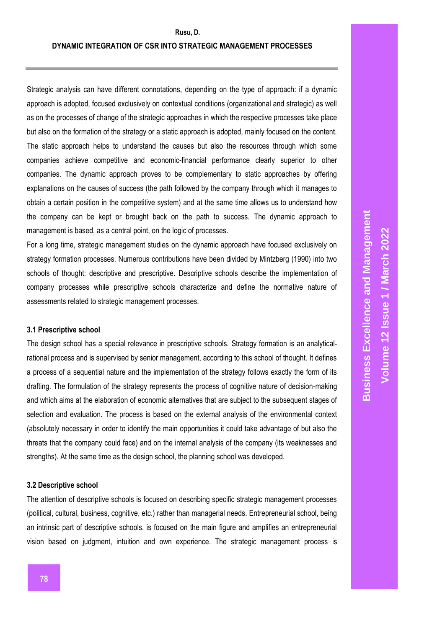Strategic analysis can have different connotations, depending on the type of approach: if a dynamic approach is adopted, focused exclusively on contextual conditions (organizational and strategic) as well as on the processes of change of the strategic approaches in which the respective processes take place but also on the formation of the strategy or a static approach is adopted, mainly focused on the content. The static approach helps to understand the causes but also the resources through which some companies achieve competitive and economic-financial performance clearly superior to other companies. The dynamic approach proves to be complementary to static approaches by offering explanations on the causes of success (the path followed by the company through which it manages to obtain a certain position in the competitive system) and at the same time allows us to understand how the company can be kept or brought back on the path to success. The dynamic approach to management is based, as a central point, on the logic of processes.

For a long time, strategic management studies on the dynamic approach have focused exclusively on strategy formation processes. Numerous contributions have been divided by Mintzberg (1990) into two schools of thought: descriptive and prescriptive. Descriptive schools describe the implementation of company processes while prescriptive schools characterize and define the normative nature of assessments related to strategic management processes.

## **3.1 Prescriptive school**

The design school has a special relevance in prescriptive schools. Strategy formation is an analyticalrational process and is supervised by senior management, according to this school of thought. It defines a process of a sequential nature and the implementation of the strategy follows exactly the form of its drafting. The formulation of the strategy represents the process of cognitive nature of decision-making and which aims at the elaboration of economic alternatives that are subject to the subsequent stages of selection and evaluation. The process is based on the external analysis of the environmental context (absolutely necessary in order to identify the main opportunities it could take advantage of but also the threats that the company could face) and on the internal analysis of the company (its weaknesses and strengths). At the same time as the design school, the planning school was developed.

## **3.2 Descriptive school**

The attention of descriptive schools is focused on describing specific strategic management processes (political, cultural, business, cognitive, etc.) rather than managerial needs. Entrepreneurial school, being an intrinsic part of descriptive schools, is focused on the main figure and amplifies an entrepreneurial vision based on judgment, intuition and own experience. The strategic management process is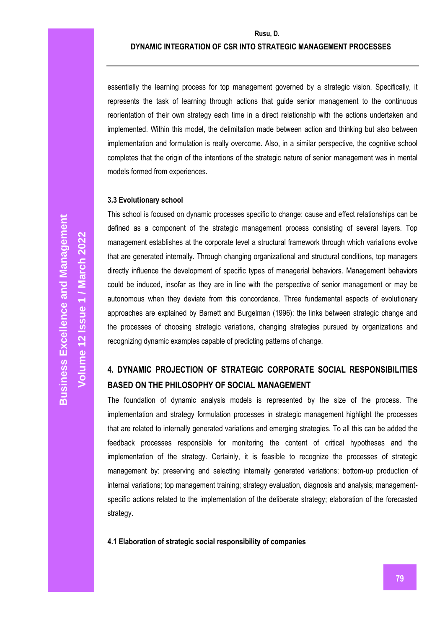essentially the learning process for top management governed by a strategic vision. Specifically, it represents the task of learning through actions that guide senior management to the continuous reorientation of their own strategy each time in a direct relationship with the actions undertaken and implemented. Within this model, the delimitation made between action and thinking but also between implementation and formulation is really overcome. Also, in a similar perspective, the cognitive school completes that the origin of the intentions of the strategic nature of senior management was in mental models formed from experiences.

## **3.3 Evolutionary school**

This school is focused on dynamic processes specific to change: cause and effect relationships can be defined as a component of the strategic management process consisting of several layers. Top management establishes at the corporate level a structural framework through which variations evolve that are generated internally. Through changing organizational and structural conditions, top managers directly influence the development of specific types of managerial behaviors. Management behaviors could be induced, insofar as they are in line with the perspective of senior management or may be autonomous when they deviate from this concordance. Three fundamental aspects of evolutionary approaches are explained by Barnett and Burgelman (1996): the links between strategic change and the processes of choosing strategic variations, changing strategies pursued by organizations and recognizing dynamic examples capable of predicting patterns of change.

# **4. DYNAMIC PROJECTION OF STRATEGIC CORPORATE SOCIAL RESPONSIBILITIES BASED ON THE PHILOSOPHY OF SOCIAL MANAGEMENT**

The foundation of dynamic analysis models is represented by the size of the process. The implementation and strategy formulation processes in strategic management highlight the processes that are related to internally generated variations and emerging strategies. To all this can be added the feedback processes responsible for monitoring the content of critical hypotheses and the implementation of the strategy. Certainly, it is feasible to recognize the processes of strategic management by: preserving and selecting internally generated variations; bottom-up production of internal variations; top management training; strategy evaluation, diagnosis and analysis; managementspecific actions related to the implementation of the deliberate strategy; elaboration of the forecasted strategy.

## **4.1 Elaboration of strategic social responsibility of companies**

**Volume 12 Issue 1 / March 2022**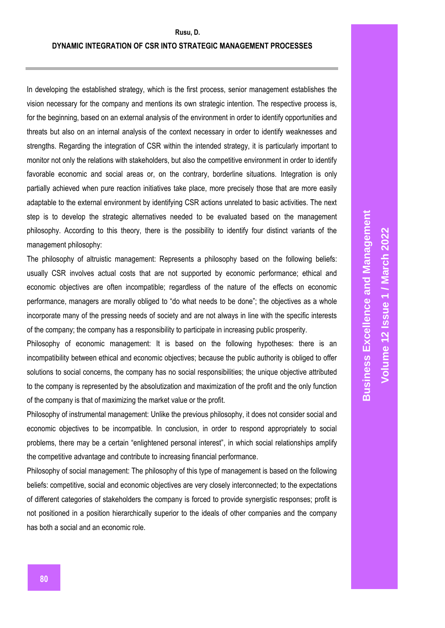In developing the established strategy, which is the first process, senior management establishes the vision necessary for the company and mentions its own strategic intention. The respective process is, for the beginning, based on an external analysis of the environment in order to identify opportunities and threats but also on an internal analysis of the context necessary in order to identify weaknesses and strengths. Regarding the integration of CSR within the intended strategy, it is particularly important to monitor not only the relations with stakeholders, but also the competitive environment in order to identify favorable economic and social areas or, on the contrary, borderline situations. Integration is only partially achieved when pure reaction initiatives take place, more precisely those that are more easily adaptable to the external environment by identifying CSR actions unrelated to basic activities. The next step is to develop the strategic alternatives needed to be evaluated based on the management philosophy. According to this theory, there is the possibility to identify four distinct variants of the management philosophy:

The philosophy of altruistic management: Represents a philosophy based on the following beliefs: usually CSR involves actual costs that are not supported by economic performance; ethical and economic objectives are often incompatible; regardless of the nature of the effects on economic performance, managers are morally obliged to "do what needs to be done"; the objectives as a whole incorporate many of the pressing needs of society and are not always in line with the specific interests of the company; the company has a responsibility to participate in increasing public prosperity.

Philosophy of economic management: It is based on the following hypotheses: there is an incompatibility between ethical and economic objectives; because the public authority is obliged to offer solutions to social concerns, the company has no social responsibilities; the unique objective attributed to the company is represented by the absolutization and maximization of the profit and the only function of the company is that of maximizing the market value or the profit.

Philosophy of instrumental management: Unlike the previous philosophy, it does not consider social and economic objectives to be incompatible. In conclusion, in order to respond appropriately to social problems, there may be a certain "enlightened personal interest", in which social relationships amplify the competitive advantage and contribute to increasing financial performance.

Philosophy of social management: The philosophy of this type of management is based on the following beliefs: competitive, social and economic objectives are very closely interconnected; to the expectations of different categories of stakeholders the company is forced to provide synergistic responses; profit is not positioned in a position hierarchically superior to the ideals of other companies and the company has both a social and an economic role.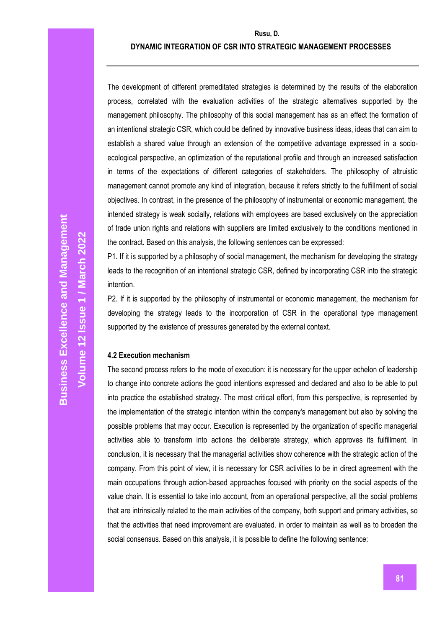## **DYNAMIC INTEGRATION OF CSR INTO STRATEGIC MANAGEMENT PROCESSES**

The development of different premeditated strategies is determined by the results of the elaboration process, correlated with the evaluation activities of the strategic alternatives supported by the management philosophy. The philosophy of this social management has as an effect the formation of an intentional strategic CSR, which could be defined by innovative business ideas, ideas that can aim to establish a shared value through an extension of the competitive advantage expressed in a socioecological perspective, an optimization of the reputational profile and through an increased satisfaction in terms of the expectations of different categories of stakeholders. The philosophy of altruistic management cannot promote any kind of integration, because it refers strictly to the fulfillment of social objectives. In contrast, in the presence of the philosophy of instrumental or economic management, the intended strategy is weak socially, relations with employees are based exclusively on the appreciation of trade union rights and relations with suppliers are limited exclusively to the conditions mentioned in the contract. Based on this analysis, the following sentences can be expressed:

P1. If it is supported by a philosophy of social management, the mechanism for developing the strategy leads to the recognition of an intentional strategic CSR, defined by incorporating CSR into the strategic intention.

P2. If it is supported by the philosophy of instrumental or economic management, the mechanism for developing the strategy leads to the incorporation of CSR in the operational type management supported by the existence of pressures generated by the external context.

## **4.2 Execution mechanism**

The second process refers to the mode of execution: it is necessary for the upper echelon of leadership to change into concrete actions the good intentions expressed and declared and also to be able to put into practice the established strategy. The most critical effort, from this perspective, is represented by the implementation of the strategic intention within the company's management but also by solving the possible problems that may occur. Execution is represented by the organization of specific managerial activities able to transform into actions the deliberate strategy, which approves its fulfillment. In conclusion, it is necessary that the managerial activities show coherence with the strategic action of the company. From this point of view, it is necessary for CSR activities to be in direct agreement with the main occupations through action-based approaches focused with priority on the social aspects of the value chain. It is essential to take into account, from an operational perspective, all the social problems that are intrinsically related to the main activities of the company, both support and primary activities, so that the activities that need improvement are evaluated. in order to maintain as well as to broaden the social consensus. Based on this analysis, it is possible to define the following sentence: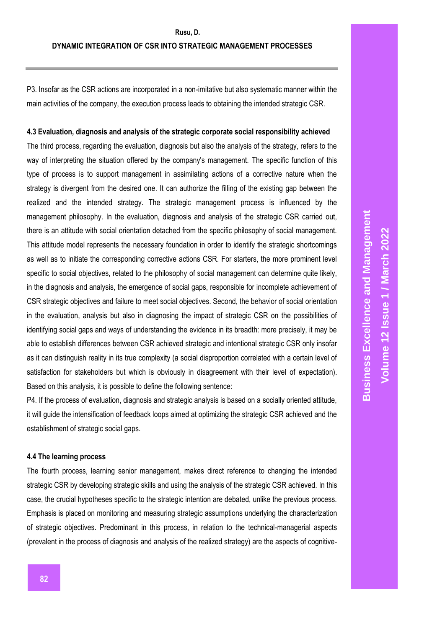P3. Insofar as the CSR actions are incorporated in a non-imitative but also systematic manner within the main activities of the company, the execution process leads to obtaining the intended strategic CSR.

### **4.3 Evaluation, diagnosis and analysis of the strategic corporate social responsibility achieved**

The third process, regarding the evaluation, diagnosis but also the analysis of the strategy, refers to the way of interpreting the situation offered by the company's management. The specific function of this type of process is to support management in assimilating actions of a corrective nature when the strategy is divergent from the desired one. It can authorize the filling of the existing gap between the realized and the intended strategy. The strategic management process is influenced by the management philosophy. In the evaluation, diagnosis and analysis of the strategic CSR carried out, there is an attitude with social orientation detached from the specific philosophy of social management. This attitude model represents the necessary foundation in order to identify the strategic shortcomings as well as to initiate the corresponding corrective actions CSR. For starters, the more prominent level specific to social objectives, related to the philosophy of social management can determine quite likely, in the diagnosis and analysis, the emergence of social gaps, responsible for incomplete achievement of CSR strategic objectives and failure to meet social objectives. Second, the behavior of social orientation in the evaluation, analysis but also in diagnosing the impact of strategic CSR on the possibilities of identifying social gaps and ways of understanding the evidence in its breadth: more precisely, it may be able to establish differences between CSR achieved strategic and intentional strategic CSR only insofar as it can distinguish reality in its true complexity (a social disproportion correlated with a certain level of satisfaction for stakeholders but which is obviously in disagreement with their level of expectation). Based on this analysis, it is possible to define the following sentence:

P4. If the process of evaluation, diagnosis and strategic analysis is based on a socially oriented attitude, it will guide the intensification of feedback loops aimed at optimizing the strategic CSR achieved and the establishment of strategic social gaps.

## **4.4 The learning process**

The fourth process, learning senior management, makes direct reference to changing the intended strategic CSR by developing strategic skills and using the analysis of the strategic CSR achieved. In this case, the crucial hypotheses specific to the strategic intention are debated, unlike the previous process. Emphasis is placed on monitoring and measuring strategic assumptions underlying the characterization of strategic objectives. Predominant in this process, in relation to the technical-managerial aspects (prevalent in the process of diagnosis and analysis of the realized strategy) are the aspects of cognitive-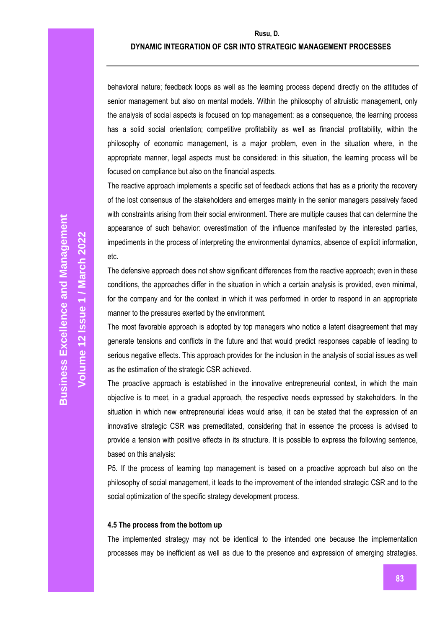## **DYNAMIC INTEGRATION OF CSR INTO STRATEGIC MANAGEMENT PROCESSES**

behavioral nature; feedback loops as well as the learning process depend directly on the attitudes of senior management but also on mental models. Within the philosophy of altruistic management, only the analysis of social aspects is focused on top management: as a consequence, the learning process has a solid social orientation; competitive profitability as well as financial profitability, within the philosophy of economic management, is a major problem, even in the situation where, in the appropriate manner, legal aspects must be considered: in this situation, the learning process will be focused on compliance but also on the financial aspects.

The reactive approach implements a specific set of feedback actions that has as a priority the recovery of the lost consensus of the stakeholders and emerges mainly in the senior managers passively faced with constraints arising from their social environment. There are multiple causes that can determine the appearance of such behavior: overestimation of the influence manifested by the interested parties, impediments in the process of interpreting the environmental dynamics, absence of explicit information, etc.

The defensive approach does not show significant differences from the reactive approach; even in these conditions, the approaches differ in the situation in which a certain analysis is provided, even minimal, for the company and for the context in which it was performed in order to respond in an appropriate manner to the pressures exerted by the environment.

The most favorable approach is adopted by top managers who notice a latent disagreement that may generate tensions and conflicts in the future and that would predict responses capable of leading to serious negative effects. This approach provides for the inclusion in the analysis of social issues as well as the estimation of the strategic CSR achieved.

The proactive approach is established in the innovative entrepreneurial context, in which the main objective is to meet, in a gradual approach, the respective needs expressed by stakeholders. In the situation in which new entrepreneurial ideas would arise, it can be stated that the expression of an innovative strategic CSR was premeditated, considering that in essence the process is advised to provide a tension with positive effects in its structure. It is possible to express the following sentence, based on this analysis:

P5. If the process of learning top management is based on a proactive approach but also on the philosophy of social management, it leads to the improvement of the intended strategic CSR and to the social optimization of the specific strategy development process.

#### **4.5 The process from the bottom up**

The implemented strategy may not be identical to the intended one because the implementation processes may be inefficient as well as due to the presence and expression of emerging strategies.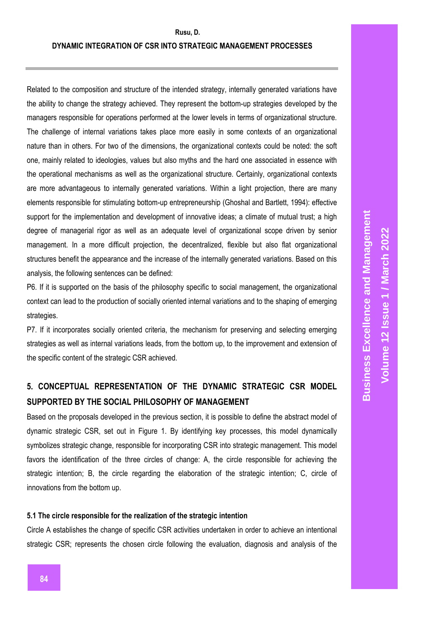## **DYNAMIC INTEGRATION OF CSR INTO STRATEGIC MANAGEMENT PROCESSES**

Related to the composition and structure of the intended strategy, internally generated variations have the ability to change the strategy achieved. They represent the bottom-up strategies developed by the managers responsible for operations performed at the lower levels in terms of organizational structure. The challenge of internal variations takes place more easily in some contexts of an organizational nature than in others. For two of the dimensions, the organizational contexts could be noted: the soft one, mainly related to ideologies, values but also myths and the hard one associated in essence with the operational mechanisms as well as the organizational structure. Certainly, organizational contexts are more advantageous to internally generated variations. Within a light projection, there are many elements responsible for stimulating bottom-up entrepreneurship (Ghoshal and Bartlett, 1994): effective support for the implementation and development of innovative ideas; a climate of mutual trust; a high degree of managerial rigor as well as an adequate level of organizational scope driven by senior management. In a more difficult projection, the decentralized, flexible but also flat organizational structures benefit the appearance and the increase of the internally generated variations. Based on this analysis, the following sentences can be defined:

P6. If it is supported on the basis of the philosophy specific to social management, the organizational context can lead to the production of socially oriented internal variations and to the shaping of emerging strategies.

P7. If it incorporates socially oriented criteria, the mechanism for preserving and selecting emerging strategies as well as internal variations leads, from the bottom up, to the improvement and extension of the specific content of the strategic CSR achieved.

## **5. CONCEPTUAL REPRESENTATION OF THE DYNAMIC STRATEGIC CSR MODEL SUPPORTED BY THE SOCIAL PHILOSOPHY OF MANAGEMENT**

Based on the proposals developed in the previous section, it is possible to define the abstract model of dynamic strategic CSR, set out in Figure 1. By identifying key processes, this model dynamically symbolizes strategic change, responsible for incorporating CSR into strategic management. This model favors the identification of the three circles of change: A, the circle responsible for achieving the strategic intention; B, the circle regarding the elaboration of the strategic intention; C, circle of innovations from the bottom up.

## **5.1 The circle responsible for the realization of the strategic intention**

Circle A establishes the change of specific CSR activities undertaken in order to achieve an intentional strategic CSR; represents the chosen circle following the evaluation, diagnosis and analysis of the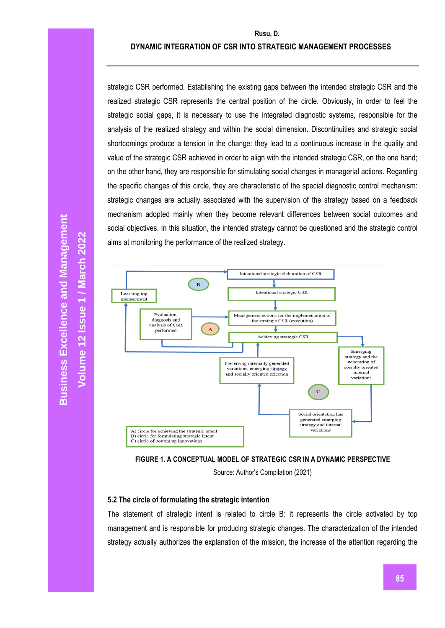## **DYNAMIC INTEGRATION OF CSR INTO STRATEGIC MANAGEMENT PROCESSES**

strategic CSR performed. Establishing the existing gaps between the intended strategic CSR and the realized strategic CSR represents the central position of the circle. Obviously, in order to feel the strategic social gaps, it is necessary to use the integrated diagnostic systems, responsible for the analysis of the realized strategy and within the social dimension. Discontinuities and strategic social shortcomings produce a tension in the change: they lead to a continuous increase in the quality and value of the strategic CSR achieved in order to align with the intended strategic CSR, on the one hand; on the other hand, they are responsible for stimulating social changes in managerial actions. Regarding the specific changes of this circle, they are characteristic of the special diagnostic control mechanism: strategic changes are actually associated with the supervision of the strategy based on a feedback mechanism adopted mainly when they become relevant differences between social outcomes and social objectives. In this situation, the intended strategy cannot be questioned and the strategic control aims at monitoring the performance of the realized strategy.





Source: Author's Compilation (2021)

## **5.2 The circle of formulating the strategic intention**

The statement of strategic intent is related to circle B: it represents the circle activated by top management and is responsible for producing strategic changes. The characterization of the intended strategy actually authorizes the explanation of the mission, the increase of the attention regarding the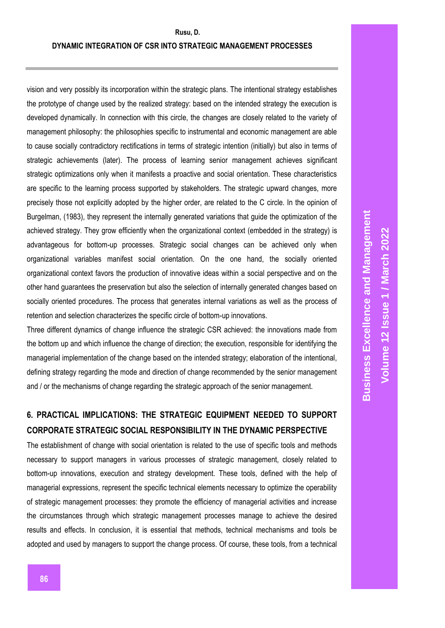vision and very possibly its incorporation within the strategic plans. The intentional strategy establishes the prototype of change used by the realized strategy: based on the intended strategy the execution is developed dynamically. In connection with this circle, the changes are closely related to the variety of management philosophy: the philosophies specific to instrumental and economic management are able to cause socially contradictory rectifications in terms of strategic intention (initially) but also in terms of strategic achievements (later). The process of learning senior management achieves significant strategic optimizations only when it manifests a proactive and social orientation. These characteristics are specific to the learning process supported by stakeholders. The strategic upward changes, more precisely those not explicitly adopted by the higher order, are related to the C circle. In the opinion of Burgelman, (1983), they represent the internally generated variations that guide the optimization of the achieved strategy. They grow efficiently when the organizational context (embedded in the strategy) is advantageous for bottom-up processes. Strategic social changes can be achieved only when organizational variables manifest social orientation. On the one hand, the socially oriented organizational context favors the production of innovative ideas within a social perspective and on the other hand guarantees the preservation but also the selection of internally generated changes based on socially oriented procedures. The process that generates internal variations as well as the process of retention and selection characterizes the specific circle of bottom-up innovations.

Three different dynamics of change influence the strategic CSR achieved: the innovations made from the bottom up and which influence the change of direction; the execution, responsible for identifying the managerial implementation of the change based on the intended strategy; elaboration of the intentional, defining strategy regarding the mode and direction of change recommended by the senior management and / or the mechanisms of change regarding the strategic approach of the senior management.

# **6. PRACTICAL IMPLICATIONS: THE STRATEGIC EQUIPMENT NEEDED TO SUPPORT CORPORATE STRATEGIC SOCIAL RESPONSIBILITY IN THE DYNAMIC PERSPECTIVE**

The establishment of change with social orientation is related to the use of specific tools and methods necessary to support managers in various processes of strategic management, closely related to bottom-up innovations, execution and strategy development. These tools, defined with the help of managerial expressions, represent the specific technical elements necessary to optimize the operability of strategic management processes: they promote the efficiency of managerial activities and increase the circumstances through which strategic management processes manage to achieve the desired results and effects. In conclusion, it is essential that methods, technical mechanisms and tools be adopted and used by managers to support the change process. Of course, these tools, from a technical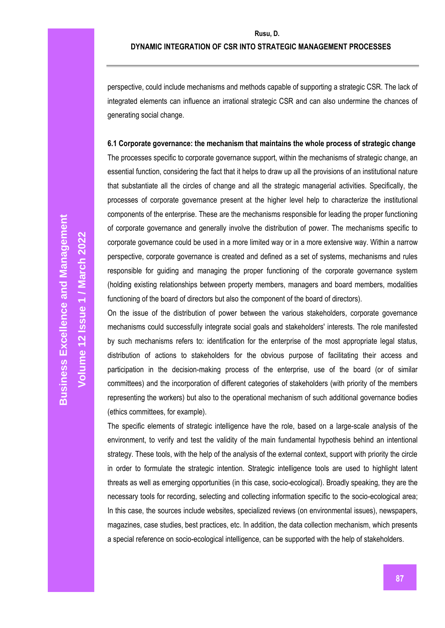perspective, could include mechanisms and methods capable of supporting a strategic CSR. The lack of integrated elements can influence an irrational strategic CSR and can also undermine the chances of generating social change.

**6.1 Corporate governance: the mechanism that maintains the whole process of strategic change** The processes specific to corporate governance support, within the mechanisms of strategic change, an essential function, considering the fact that it helps to draw up all the provisions of an institutional nature that substantiate all the circles of change and all the strategic managerial activities. Specifically, the processes of corporate governance present at the higher level help to characterize the institutional components of the enterprise. These are the mechanisms responsible for leading the proper functioning of corporate governance and generally involve the distribution of power. The mechanisms specific to corporate governance could be used in a more limited way or in a more extensive way. Within a narrow perspective, corporate governance is created and defined as a set of systems, mechanisms and rules responsible for guiding and managing the proper functioning of the corporate governance system (holding existing relationships between property members, managers and board members, modalities functioning of the board of directors but also the component of the board of directors).

On the issue of the distribution of power between the various stakeholders, corporate governance mechanisms could successfully integrate social goals and stakeholders' interests. The role manifested by such mechanisms refers to: identification for the enterprise of the most appropriate legal status, distribution of actions to stakeholders for the obvious purpose of facilitating their access and participation in the decision-making process of the enterprise, use of the board (or of similar committees) and the incorporation of different categories of stakeholders (with priority of the members representing the workers) but also to the operational mechanism of such additional governance bodies (ethics committees, for example).

The specific elements of strategic intelligence have the role, based on a large-scale analysis of the environment, to verify and test the validity of the main fundamental hypothesis behind an intentional strategy. These tools, with the help of the analysis of the external context, support with priority the circle in order to formulate the strategic intention. Strategic intelligence tools are used to highlight latent threats as well as emerging opportunities (in this case, socio-ecological). Broadly speaking, they are the necessary tools for recording, selecting and collecting information specific to the socio-ecological area; In this case, the sources include websites, specialized reviews (on environmental issues), newspapers, magazines, case studies, best practices, etc. In addition, the data collection mechanism, which presents a special reference on socio-ecological intelligence, can be supported with the help of stakeholders.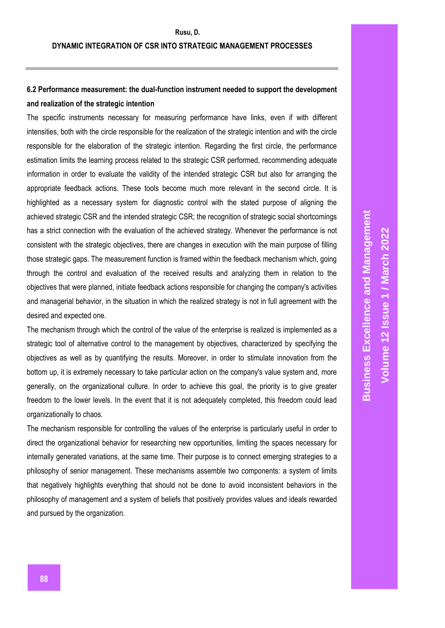## **6.2 Performance measurement: the dual-function instrument needed to support the development and realization of the strategic intention**

The specific instruments necessary for measuring performance have links, even if with different intensities, both with the circle responsible for the realization of the strategic intention and with the circle responsible for the elaboration of the strategic intention. Regarding the first circle, the performance estimation limits the learning process related to the strategic CSR performed, recommending adequate information in order to evaluate the validity of the intended strategic CSR but also for arranging the appropriate feedback actions. These tools become much more relevant in the second circle. It is highlighted as a necessary system for diagnostic control with the stated purpose of aligning the achieved strategic CSR and the intended strategic CSR; the recognition of strategic social shortcomings has a strict connection with the evaluation of the achieved strategy. Whenever the performance is not consistent with the strategic objectives, there are changes in execution with the main purpose of filling those strategic gaps. The measurement function is framed within the feedback mechanism which, going through the control and evaluation of the received results and analyzing them in relation to the objectives that were planned, initiate feedback actions responsible for changing the company's activities and managerial behavior, in the situation in which the realized strategy is not in full agreement with the desired and expected one.

The mechanism through which the control of the value of the enterprise is realized is implemented as a strategic tool of alternative control to the management by objectives, characterized by specifying the objectives as well as by quantifying the results. Moreover, in order to stimulate innovation from the bottom up, it is extremely necessary to take particular action on the company's value system and, more generally, on the organizational culture. In order to achieve this goal, the priority is to give greater freedom to the lower levels. In the event that it is not adequately completed, this freedom could lead organizationally to chaos.

The mechanism responsible for controlling the values of the enterprise is particularly useful in order to direct the organizational behavior for researching new opportunities, limiting the spaces necessary for internally generated variations, at the same time. Their purpose is to connect emerging strategies to a philosophy of senior management. These mechanisms assemble two components: a system of limits that negatively highlights everything that should not be done to avoid inconsistent behaviors in the philosophy of management and a system of beliefs that positively provides values and ideals rewarded and pursued by the organization.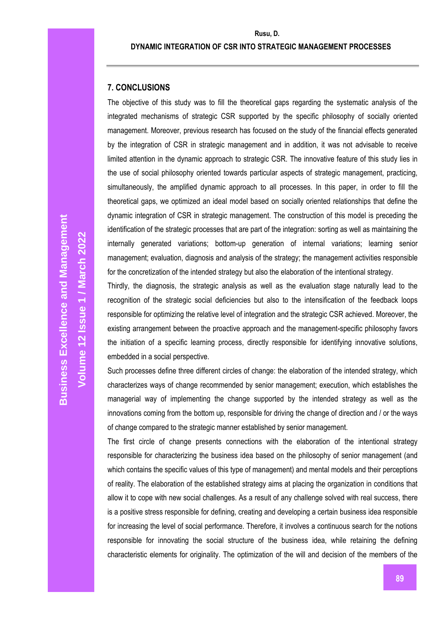## **DYNAMIC INTEGRATION OF CSR INTO STRATEGIC MANAGEMENT PROCESSES**

## **7. CONCLUSIONS**

The objective of this study was to fill the theoretical gaps regarding the systematic analysis of the integrated mechanisms of strategic CSR supported by the specific philosophy of socially oriented management. Moreover, previous research has focused on the study of the financial effects generated by the integration of CSR in strategic management and in addition, it was not advisable to receive limited attention in the dynamic approach to strategic CSR. The innovative feature of this study lies in the use of social philosophy oriented towards particular aspects of strategic management, practicing, simultaneously, the amplified dynamic approach to all processes. In this paper, in order to fill the theoretical gaps, we optimized an ideal model based on socially oriented relationships that define the dynamic integration of CSR in strategic management. The construction of this model is preceding the identification of the strategic processes that are part of the integration: sorting as well as maintaining the internally generated variations; bottom-up generation of internal variations; learning senior management; evaluation, diagnosis and analysis of the strategy; the management activities responsible for the concretization of the intended strategy but also the elaboration of the intentional strategy.

Thirdly, the diagnosis, the strategic analysis as well as the evaluation stage naturally lead to the recognition of the strategic social deficiencies but also to the intensification of the feedback loops responsible for optimizing the relative level of integration and the strategic CSR achieved. Moreover, the existing arrangement between the proactive approach and the management-specific philosophy favors the initiation of a specific learning process, directly responsible for identifying innovative solutions, embedded in a social perspective.

Such processes define three different circles of change: the elaboration of the intended strategy, which characterizes ways of change recommended by senior management; execution, which establishes the managerial way of implementing the change supported by the intended strategy as well as the innovations coming from the bottom up, responsible for driving the change of direction and / or the ways of change compared to the strategic manner established by senior management.

The first circle of change presents connections with the elaboration of the intentional strategy responsible for characterizing the business idea based on the philosophy of senior management (and which contains the specific values of this type of management) and mental models and their perceptions of reality. The elaboration of the established strategy aims at placing the organization in conditions that allow it to cope with new social challenges. As a result of any challenge solved with real success, there is a positive stress responsible for defining, creating and developing a certain business idea responsible for increasing the level of social performance. Therefore, it involves a continuous search for the notions responsible for innovating the social structure of the business idea, while retaining the defining characteristic elements for originality. The optimization of the will and decision of the members of the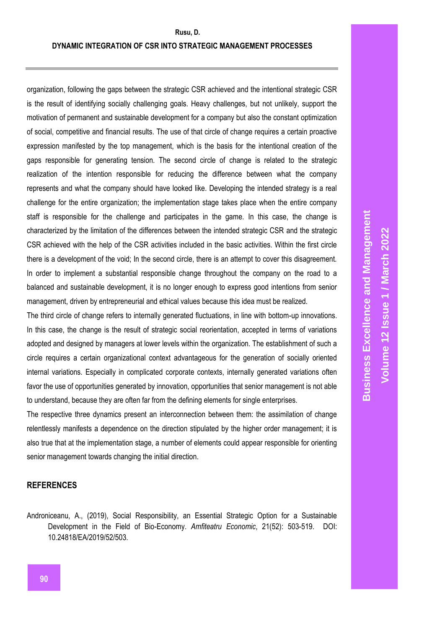## **DYNAMIC INTEGRATION OF CSR INTO STRATEGIC MANAGEMENT PROCESSES**

organization, following the gaps between the strategic CSR achieved and the intentional strategic CSR is the result of identifying socially challenging goals. Heavy challenges, but not unlikely, support the motivation of permanent and sustainable development for a company but also the constant optimization of social, competitive and financial results. The use of that circle of change requires a certain proactive expression manifested by the top management, which is the basis for the intentional creation of the gaps responsible for generating tension. The second circle of change is related to the strategic realization of the intention responsible for reducing the difference between what the company represents and what the company should have looked like. Developing the intended strategy is a real challenge for the entire organization; the implementation stage takes place when the entire company staff is responsible for the challenge and participates in the game. In this case, the change is characterized by the limitation of the differences between the intended strategic CSR and the strategic CSR achieved with the help of the CSR activities included in the basic activities. Within the first circle there is a development of the void; In the second circle, there is an attempt to cover this disagreement. In order to implement a substantial responsible change throughout the company on the road to a balanced and sustainable development, it is no longer enough to express good intentions from senior management, driven by entrepreneurial and ethical values because this idea must be realized.

The third circle of change refers to internally generated fluctuations, in line with bottom-up innovations. In this case, the change is the result of strategic social reorientation, accepted in terms of variations adopted and designed by managers at lower levels within the organization. The establishment of such a circle requires a certain organizational context advantageous for the generation of socially oriented internal variations. Especially in complicated corporate contexts, internally generated variations often favor the use of opportunities generated by innovation, opportunities that senior management is not able to understand, because they are often far from the defining elements for single enterprises.

The respective three dynamics present an interconnection between them: the assimilation of change relentlessly manifests a dependence on the direction stipulated by the higher order management; it is also true that at the implementation stage, a number of elements could appear responsible for orienting senior management towards changing the initial direction.

## **REFERENCES**

Androniceanu, A., (2019), Social Responsibility, an Essential Strategic Option for a Sustainable Development in the Field of Bio-Economy. *Amfiteatru Economic*, 21(52): 503-519. DOI: 10.24818/EA/2019/52/503.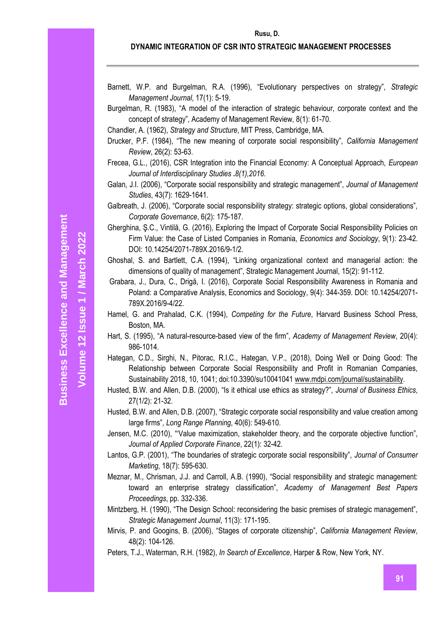**Volume 12 Issue 1 / March 2022**

## **DYNAMIC INTEGRATION OF CSR INTO STRATEGIC MANAGEMENT PROCESSES**

- Barnett, W.P. and Burgelman, R.A. (1996), "Evolutionary perspectives on strategy", *Strategic Management Journal*, 17(1): 5-19.
- Burgelman, R. (1983), "A model of the interaction of strategic behaviour, corporate context and the concept of strategy", Academy of Management Review, 8(1): 61-70.
- Chandler, A. (1962), *Strategy and Structure*, MIT Press, Cambridge, MA.
- Drucker, P.F. (1984), "The new meaning of corporate social responsibility", *California Management Review*, 26(2): 53-63.
- Frecea, G.L., (2016), CSR Integration into the Financial Economy: A Conceptual Approach, *European Journal of Interdisciplinary Studies* **.***8(1),2016.*
- Galan, J.I. (2006), "Corporate social responsibility and strategic management", *Journal of Management Studies*, 43(7): 1629-1641.
- Galbreath, J. (2006), "Corporate social responsibility strategy: strategic options, global considerations", *Corporate Governance*, 6(2): 175-187.
- Gherghina, Ş.C., Vintilă, G. (2016), Exploring the Impact of Corporate Social Responsibility Policies on Firm Value: the Case of Listed Companies in Romania, *Economics and Sociology*, 9(1): 23-42. DOI: 10.14254/2071-789X.2016/9-1/2.
- Ghoshal, S. and Bartlett, C.A. (1994), "Linking organizational context and managerial action: the dimensions of quality of management", Strategic Management Journal, 15(2): 91-112.
- Grabara, J., Dura, C., Drigă, I. (2016), Corporate Social Responsibility Awareness in Romania and Poland: a Comparative Analysis, Economics and Sociology, 9(4): 344-359. DOI: 10.14254/2071- 789X.2016/9-4/22.
- Hamel, G. and Prahalad, C.K. (1994), *Competing for the Future*, Harvard Business School Press, Boston, MA.
- Hart, S. (1995), "A natural-resource-based view of the firm", *Academy of Management Review*, 20(4): 986-1014.
- Hategan, C.D., Sirghi, N., Pitorac, R.I.C., Hategan, V.P., (2018), Doing Well or Doing Good: The Relationship between Corporate Social Responsibility and Profit in Romanian Companies, Sustainability 2018, 10, 1041; doi:10.3390/su10041041 [www.mdpi.com/journal/sustainability.](http://www.mdpi.com/journal/sustainability)
- Husted, B.W. and Allen, D.B. (2000), "Is it ethical use ethics as strategy?", *Journal of Business Ethics*, 27(1/2): 21-32.
- Husted, B.W. and Allen, D.B. (2007), "Strategic corporate social responsibility and value creation among large firms", *Long Range Planning*, 40(6): 549-610.
- Jensen, M.C. (2010), "'Value maximization, stakeholder theory, and the corporate objective function", *Journal of Applied Corporate Finance*, 22(1): 32-42.
- Lantos, G.P. (2001), "The boundaries of strategic corporate social responsibility", *Journal of Consumer Marketing*, 18(7): 595-630.
- Meznar, M., Chrisman, J.J. and Carroll, A.B. (1990), "Social responsibility and strategic management: toward an enterprise strategy classification", *Academy of Management Best Papers Proceedings*, pp. 332-336.
- Mintzberg, H. (1990), "The Design School: reconsidering the basic premises of strategic management", *Strategic Management Journal*, 11(3): 171-195.
- Mirvis, P. and Googins, B. (2006), "Stages of corporate citizenship", *California Management Review*, 48(2): 104-126.
- Peters, T.J., Waterman, R.H. (1982), *In Search of Excellence*, Harper & Row, New York, NY.